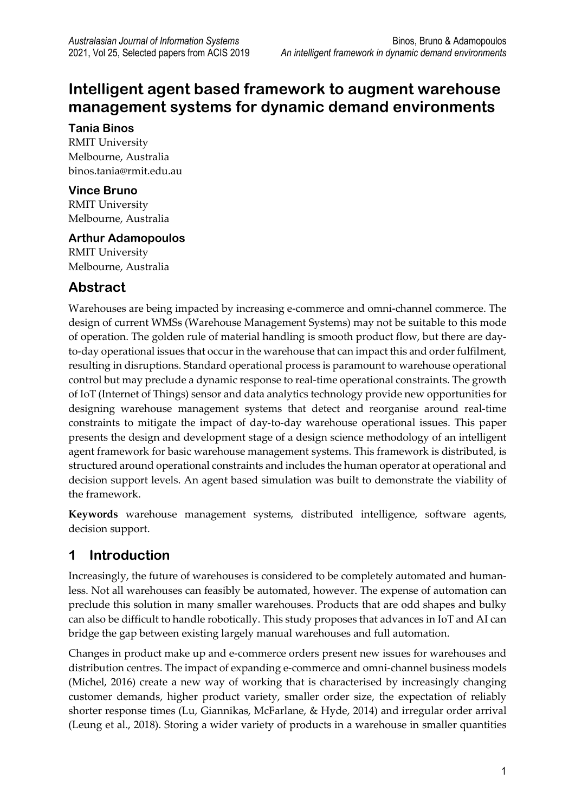# **Intelligent agent based framework to augment warehouse management systems for dynamic demand environments**

#### **Tania Binos**

RMIT University Melbourne, Australia binos.tania@rmit.edu.au

## **Vince Bruno**

RMIT University Melbourne, Australia

## **Arthur Adamopoulos**

RMIT University Melbourne, Australia

# **Abstract**

Warehouses are being impacted by increasing e-commerce and omni-channel commerce. The design of current WMSs (Warehouse Management Systems) may not be suitable to this mode of operation. The golden rule of material handling is smooth product flow, but there are dayto-day operational issues that occur in the warehouse that can impact this and order fulfilment, resulting in disruptions. Standard operational process is paramount to warehouse operational control but may preclude a dynamic response to real-time operational constraints. The growth of IoT (Internet of Things) sensor and data analytics technology provide new opportunities for designing warehouse management systems that detect and reorganise around real-time constraints to mitigate the impact of day-to-day warehouse operational issues. This paper presents the design and development stage of a design science methodology of an intelligent agent framework for basic warehouse management systems. This framework is distributed, is structured around operational constraints and includes the human operator at operational and decision support levels. An agent based simulation was built to demonstrate the viability of the framework.

**Keywords** warehouse management systems, distributed intelligence, software agents, decision support.

# **1 Introduction**

Increasingly, the future of warehouses is considered to be completely automated and humanless. Not all warehouses can feasibly be automated, however. The expense of automation can preclude this solution in many smaller warehouses. Products that are odd shapes and bulky can also be difficult to handle robotically. This study proposes that advances in IoT and AI can bridge the gap between existing largely manual warehouses and full automation.

Changes in product make up and e-commerce orders present new issues for warehouses and distribution centres. The impact of expanding e-commerce and omni-channel business models (Michel, 2016) create a new way of working that is characterised by increasingly changing customer demands, higher product variety, smaller order size, the expectation of reliably shorter response times (Lu, Giannikas, McFarlane, & Hyde, 2014) and irregular order arrival (Leung et al., 2018). Storing a wider variety of products in a warehouse in smaller quantities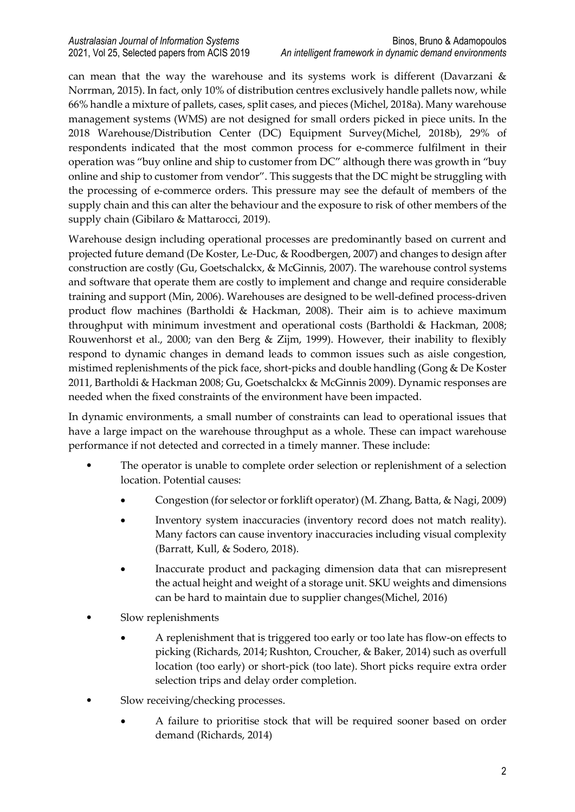can mean that the way the warehouse and its systems work is different (Davarzani & Norrman, 2015). In fact, only 10% of distribution centres exclusively handle pallets now, while 66% handle a mixture of pallets, cases, split cases, and pieces (Michel, 2018a). Many warehouse management systems (WMS) are not designed for small orders picked in piece units. In the 2018 Warehouse/Distribution Center (DC) Equipment Survey(Michel, 2018b), 29% of respondents indicated that the most common process for e-commerce fulfilment in their operation was "buy online and ship to customer from DC" although there was growth in "buy online and ship to customer from vendor". This suggests that the DC might be struggling with the processing of e-commerce orders. This pressure may see the default of members of the supply chain and this can alter the behaviour and the exposure to risk of other members of the supply chain (Gibilaro & Mattarocci, 2019).

Warehouse design including operational processes are predominantly based on current and projected future demand (De Koster, Le-Duc, & Roodbergen, 2007) and changes to design after construction are costly (Gu, Goetschalckx, & McGinnis, 2007). The warehouse control systems and software that operate them are costly to implement and change and require considerable training and support (Min, 2006). Warehouses are designed to be well-defined process-driven product flow machines (Bartholdi & Hackman, 2008). Their aim is to achieve maximum throughput with minimum investment and operational costs (Bartholdi & Hackman, 2008; Rouwenhorst et al., 2000; van den Berg & Zijm, 1999). However, their inability to flexibly respond to dynamic changes in demand leads to common issues such as aisle congestion, mistimed replenishments of the pick face, short-picks and double handling (Gong & De Koster 2011, Bartholdi & Hackman 2008; Gu, Goetschalckx & McGinnis 2009). Dynamic responses are needed when the fixed constraints of the environment have been impacted.

In dynamic environments, a small number of constraints can lead to operational issues that have a large impact on the warehouse throughput as a whole. These can impact warehouse performance if not detected and corrected in a timely manner. These include:

- The operator is unable to complete order selection or replenishment of a selection location. Potential causes:
	- Congestion (for selector or forklift operator) (M. Zhang, Batta, & Nagi, 2009)
	- Inventory system inaccuracies (inventory record does not match reality). Many factors can cause inventory inaccuracies including visual complexity (Barratt, Kull, & Sodero, 2018).
	- Inaccurate product and packaging dimension data that can misrepresent the actual height and weight of a storage unit. SKU weights and dimensions can be hard to maintain due to supplier changes(Michel, 2016)
- Slow replenishments
	- A replenishment that is triggered too early or too late has flow-on effects to picking (Richards, 2014; Rushton, Croucher, & Baker, 2014) such as overfull location (too early) or short-pick (too late). Short picks require extra order selection trips and delay order completion.
- Slow receiving/checking processes.
	- A failure to prioritise stock that will be required sooner based on order demand (Richards, 2014)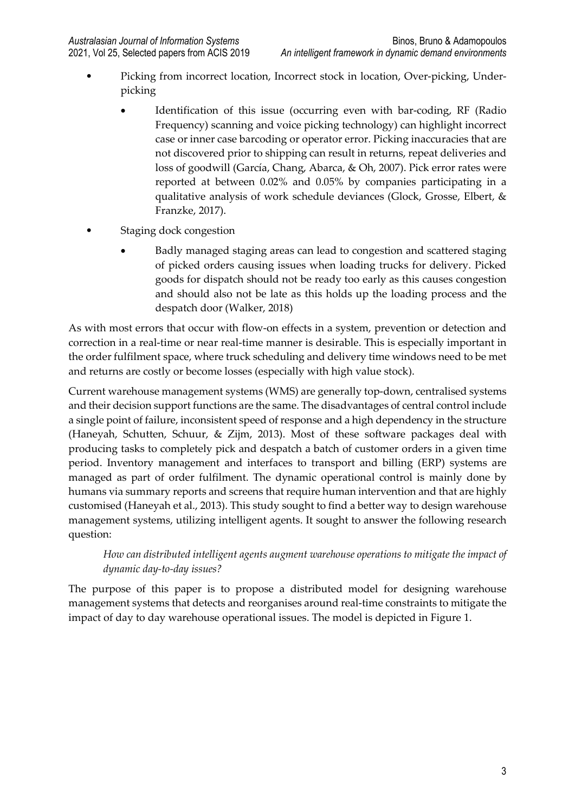- Picking from incorrect location, Incorrect stock in location, Over-picking, Underpicking
	- Identification of this issue (occurring even with bar-coding, RF (Radio Frequency) scanning and voice picking technology) can highlight incorrect case or inner case barcoding or operator error. Picking inaccuracies that are not discovered prior to shipping can result in returns, repeat deliveries and loss of goodwill (García, Chang, Abarca, & Oh, 2007). Pick error rates were reported at between 0.02% and 0.05% by companies participating in a qualitative analysis of work schedule deviances (Glock, Grosse, Elbert, & Franzke, 2017).
- Staging dock congestion
	- Badly managed staging areas can lead to congestion and scattered staging of picked orders causing issues when loading trucks for delivery. Picked goods for dispatch should not be ready too early as this causes congestion and should also not be late as this holds up the loading process and the despatch door (Walker, 2018)

As with most errors that occur with flow-on effects in a system, prevention or detection and correction in a real-time or near real-time manner is desirable. This is especially important in the order fulfilment space, where truck scheduling and delivery time windows need to be met and returns are costly or become losses (especially with high value stock).

Current warehouse management systems (WMS) are generally top-down, centralised systems and their decision support functions are the same. The disadvantages of central control include a single point of failure, inconsistent speed of response and a high dependency in the structure (Haneyah, Schutten, Schuur, & Zijm, 2013). Most of these software packages deal with producing tasks to completely pick and despatch a batch of customer orders in a given time period. Inventory management and interfaces to transport and billing (ERP) systems are managed as part of order fulfilment. The dynamic operational control is mainly done by humans via summary reports and screens that require human intervention and that are highly customised (Haneyah et al., 2013). This study sought to find a better way to design warehouse management systems, utilizing intelligent agents. It sought to answer the following research question:

*How can distributed intelligent agents augment warehouse operations to mitigate the impact of dynamic day-to-day issues?*

The purpose of this paper is to propose a distributed model for designing warehouse management systems that detects and reorganises around real-time constraints to mitigate the impact of day to day warehouse operational issues. The model is depicted in Figure 1.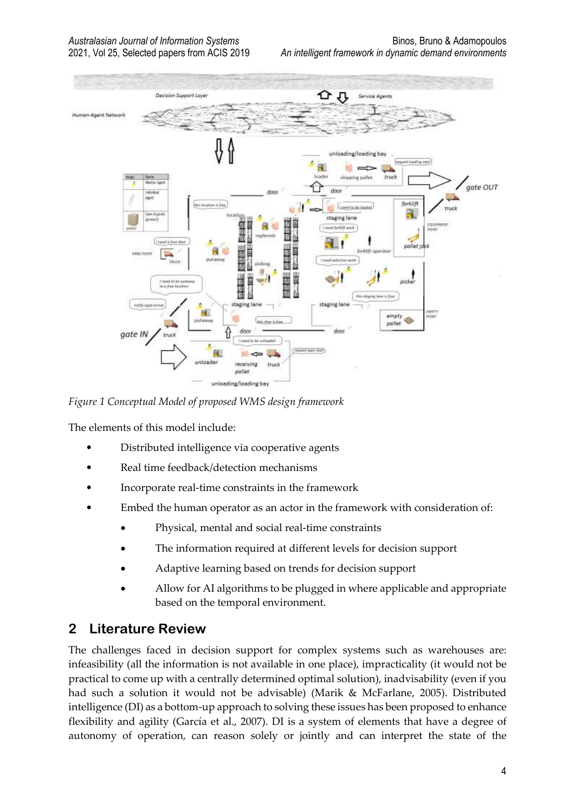

*Figure 1 Conceptual Model of proposed WMS design framework*

The elements of this model include:

- Distributed intelligence via cooperative agents
- Real time feedback/detection mechanisms
- Incorporate real-time constraints in the framework
- Embed the human operator as an actor in the framework with consideration of:
	- Physical, mental and social real-time constraints
	- The information required at different levels for decision support
	- Adaptive learning based on trends for decision support
	- Allow for AI algorithms to be plugged in where applicable and appropriate based on the temporal environment.

# **2 Literature Review**

The challenges faced in decision support for complex systems such as warehouses are: infeasibility (all the information is not available in one place), impracticality (it would not be practical to come up with a centrally determined optimal solution), inadvisability (even if you had such a solution it would not be advisable) (Marik & McFarlane, 2005). Distributed intelligence (DI) as a bottom-up approach to solving these issues has been proposed to enhance flexibility and agility (García et al., 2007). DI is a system of elements that have a degree of autonomy of operation, can reason solely or jointly and can interpret the state of the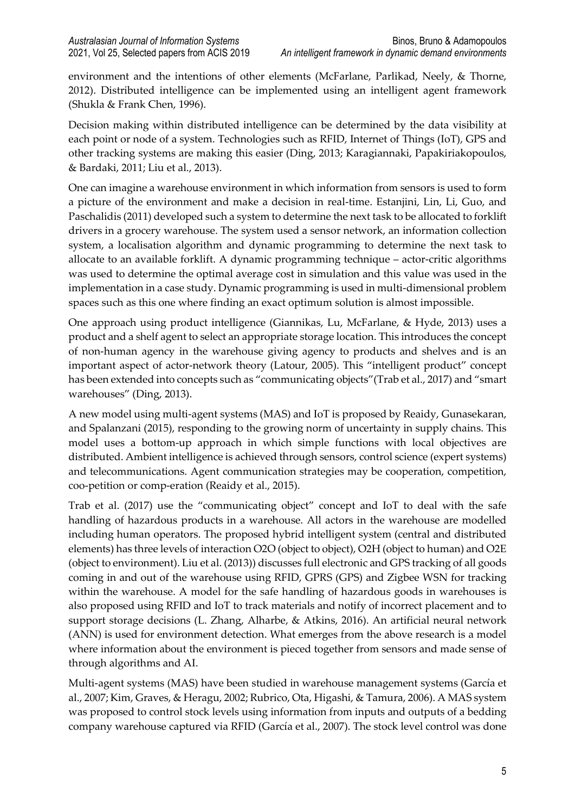environment and the intentions of other elements (McFarlane, Parlikad, Neely, & Thorne, 2012). Distributed intelligence can be implemented using an intelligent agent framework (Shukla & Frank Chen, 1996).

Decision making within distributed intelligence can be determined by the data visibility at each point or node of a system. Technologies such as RFID, Internet of Things (IoT), GPS and other tracking systems are making this easier (Ding, 2013; Karagiannaki, Papakiriakopoulos, & Bardaki, 2011; Liu et al., 2013).

One can imagine a warehouse environment in which information from sensors is used to form a picture of the environment and make a decision in real-time. Estanjini, Lin, Li, Guo, and Paschalidis (2011) developed such a system to determine the next task to be allocated to forklift drivers in a grocery warehouse. The system used a sensor network, an information collection system, a localisation algorithm and dynamic programming to determine the next task to allocate to an available forklift. A dynamic programming technique – actor-critic algorithms was used to determine the optimal average cost in simulation and this value was used in the implementation in a case study. Dynamic programming is used in multi-dimensional problem spaces such as this one where finding an exact optimum solution is almost impossible.

One approach using product intelligence (Giannikas, Lu, McFarlane, & Hyde, 2013) uses a product and a shelf agent to select an appropriate storage location. This introduces the concept of non-human agency in the warehouse giving agency to products and shelves and is an important aspect of actor-network theory (Latour, 2005). This "intelligent product" concept has been extended into concepts such as "communicating objects"(Trab et al., 2017) and "smart warehouses" (Ding, 2013).

A new model using multi-agent systems (MAS) and IoT is proposed by Reaidy, Gunasekaran, and Spalanzani (2015), responding to the growing norm of uncertainty in supply chains. This model uses a bottom-up approach in which simple functions with local objectives are distributed. Ambient intelligence is achieved through sensors, control science (expert systems) and telecommunications. Agent communication strategies may be cooperation, competition, coo-petition or comp-eration (Reaidy et al., 2015).

Trab et al. (2017) use the "communicating object" concept and IoT to deal with the safe handling of hazardous products in a warehouse. All actors in the warehouse are modelled including human operators. The proposed hybrid intelligent system (central and distributed elements) has three levels of interaction O2O (object to object), O2H (object to human) and O2E (object to environment). Liu et al. (2013)) discusses full electronic and GPS tracking of all goods coming in and out of the warehouse using RFID, GPRS (GPS) and Zigbee WSN for tracking within the warehouse. A model for the safe handling of hazardous goods in warehouses is also proposed using RFID and IoT to track materials and notify of incorrect placement and to support storage decisions (L. Zhang, Alharbe, & Atkins, 2016). An artificial neural network (ANN) is used for environment detection. What emerges from the above research is a model where information about the environment is pieced together from sensors and made sense of through algorithms and AI.

Multi-agent systems (MAS) have been studied in warehouse management systems (García et al., 2007; Kim, Graves, & Heragu, 2002; Rubrico, Ota, Higashi, & Tamura, 2006). A MAS system was proposed to control stock levels using information from inputs and outputs of a bedding company warehouse captured via RFID (García et al., 2007). The stock level control was done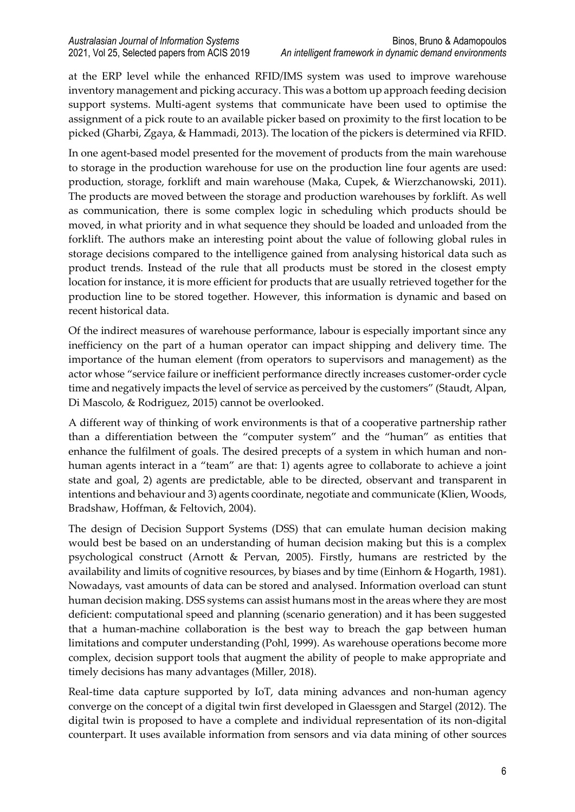at the ERP level while the enhanced RFID/IMS system was used to improve warehouse inventory management and picking accuracy. This was a bottom up approach feeding decision support systems. Multi-agent systems that communicate have been used to optimise the assignment of a pick route to an available picker based on proximity to the first location to be picked (Gharbi, Zgaya, & Hammadi, 2013). The location of the pickers is determined via RFID.

In one agent-based model presented for the movement of products from the main warehouse to storage in the production warehouse for use on the production line four agents are used: production, storage, forklift and main warehouse (Maka, Cupek, & Wierzchanowski, 2011). The products are moved between the storage and production warehouses by forklift. As well as communication, there is some complex logic in scheduling which products should be moved, in what priority and in what sequence they should be loaded and unloaded from the forklift. The authors make an interesting point about the value of following global rules in storage decisions compared to the intelligence gained from analysing historical data such as product trends. Instead of the rule that all products must be stored in the closest empty location for instance, it is more efficient for products that are usually retrieved together for the production line to be stored together. However, this information is dynamic and based on recent historical data.

Of the indirect measures of warehouse performance, labour is especially important since any inefficiency on the part of a human operator can impact shipping and delivery time. The importance of the human element (from operators to supervisors and management) as the actor whose "service failure or inefficient performance directly increases customer-order cycle time and negatively impacts the level of service as perceived by the customers" (Staudt, Alpan, Di Mascolo, & Rodriguez, 2015) cannot be overlooked.

A different way of thinking of work environments is that of a cooperative partnership rather than a differentiation between the "computer system" and the "human" as entities that enhance the fulfilment of goals. The desired precepts of a system in which human and nonhuman agents interact in a "team" are that: 1) agents agree to collaborate to achieve a joint state and goal, 2) agents are predictable, able to be directed, observant and transparent in intentions and behaviour and 3) agents coordinate, negotiate and communicate (Klien, Woods, Bradshaw, Hoffman, & Feltovich, 2004).

The design of Decision Support Systems (DSS) that can emulate human decision making would best be based on an understanding of human decision making but this is a complex psychological construct (Arnott & Pervan, 2005). Firstly, humans are restricted by the availability and limits of cognitive resources, by biases and by time (Einhorn & Hogarth, 1981). Nowadays, vast amounts of data can be stored and analysed. Information overload can stunt human decision making. DSS systems can assist humans most in the areas where they are most deficient: computational speed and planning (scenario generation) and it has been suggested that a human-machine collaboration is the best way to breach the gap between human limitations and computer understanding (Pohl, 1999). As warehouse operations become more complex, decision support tools that augment the ability of people to make appropriate and timely decisions has many advantages (Miller, 2018).

Real-time data capture supported by IoT, data mining advances and non-human agency converge on the concept of a digital twin first developed in Glaessgen and Stargel (2012). The digital twin is proposed to have a complete and individual representation of its non-digital counterpart. It uses available information from sensors and via data mining of other sources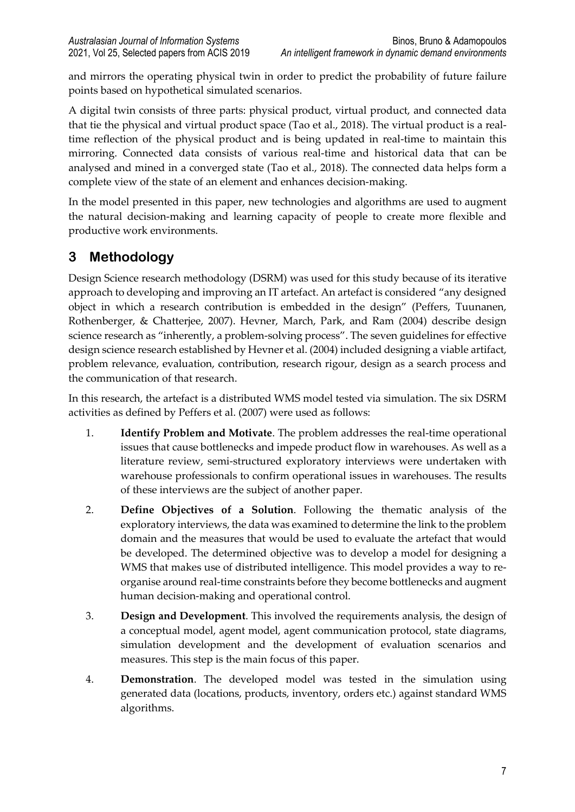and mirrors the operating physical twin in order to predict the probability of future failure points based on hypothetical simulated scenarios.

A digital twin consists of three parts: physical product, virtual product, and connected data that tie the physical and virtual product space (Tao et al., 2018). The virtual product is a realtime reflection of the physical product and is being updated in real-time to maintain this mirroring. Connected data consists of various real-time and historical data that can be analysed and mined in a converged state (Tao et al., 2018). The connected data helps form a complete view of the state of an element and enhances decision-making.

In the model presented in this paper, new technologies and algorithms are used to augment the natural decision-making and learning capacity of people to create more flexible and productive work environments.

# **3 Methodology**

Design Science research methodology (DSRM) was used for this study because of its iterative approach to developing and improving an IT artefact. An artefact is considered "any designed object in which a research contribution is embedded in the design" (Peffers, Tuunanen, Rothenberger, & Chatterjee, 2007). Hevner, March, Park, and Ram (2004) describe design science research as "inherently, a problem-solving process". The seven guidelines for effective design science research established by Hevner et al. (2004) included designing a viable artifact, problem relevance, evaluation, contribution, research rigour, design as a search process and the communication of that research.

In this research, the artefact is a distributed WMS model tested via simulation. The six DSRM activities as defined by Peffers et al. (2007) were used as follows:

- 1. **Identify Problem and Motivate**. The problem addresses the real-time operational issues that cause bottlenecks and impede product flow in warehouses. As well as a literature review, semi-structured exploratory interviews were undertaken with warehouse professionals to confirm operational issues in warehouses. The results of these interviews are the subject of another paper.
- 2. **Define Objectives of a Solution**. Following the thematic analysis of the exploratory interviews, the data was examined to determine the link to the problem domain and the measures that would be used to evaluate the artefact that would be developed. The determined objective was to develop a model for designing a WMS that makes use of distributed intelligence. This model provides a way to reorganise around real-time constraints before they become bottlenecks and augment human decision-making and operational control.
- 3. **Design and Development**. This involved the requirements analysis, the design of a conceptual model, agent model, agent communication protocol, state diagrams, simulation development and the development of evaluation scenarios and measures. This step is the main focus of this paper.
- 4. **Demonstration**. The developed model was tested in the simulation using generated data (locations, products, inventory, orders etc.) against standard WMS algorithms.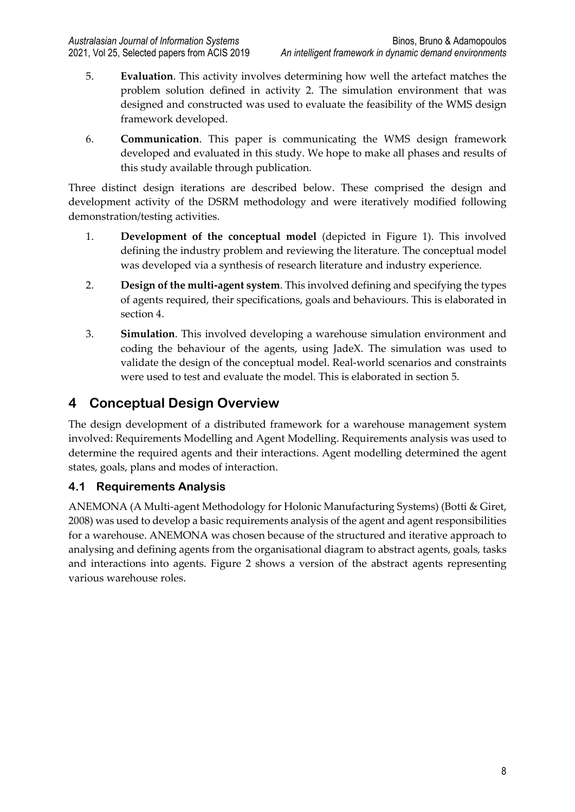- 5. **Evaluation**. This activity involves determining how well the artefact matches the problem solution defined in activity 2. The simulation environment that was designed and constructed was used to evaluate the feasibility of the WMS design framework developed.
- 6. **Communication**. This paper is communicating the WMS design framework developed and evaluated in this study. We hope to make all phases and results of this study available through publication.

Three distinct design iterations are described below. These comprised the design and development activity of the DSRM methodology and were iteratively modified following demonstration/testing activities.

- 1. **Development of the conceptual model** (depicted in Figure 1). This involved defining the industry problem and reviewing the literature. The conceptual model was developed via a synthesis of research literature and industry experience.
- 2. **Design of the multi-agent system**. This involved defining and specifying the types of agents required, their specifications, goals and behaviours. This is elaborated in section 4.
- 3. **Simulation**. This involved developing a warehouse simulation environment and coding the behaviour of the agents, using JadeX. The simulation was used to validate the design of the conceptual model. Real-world scenarios and constraints were used to test and evaluate the model. This is elaborated in section 5.

# **4 Conceptual Design Overview**

The design development of a distributed framework for a warehouse management system involved: Requirements Modelling and Agent Modelling. Requirements analysis was used to determine the required agents and their interactions. Agent modelling determined the agent states, goals, plans and modes of interaction.

## **4.1 Requirements Analysis**

ANEMONA (A Multi-agent Methodology for Holonic Manufacturing Systems) (Botti & Giret, 2008) was used to develop a basic requirements analysis of the agent and agent responsibilities for a warehouse. ANEMONA was chosen because of the structured and iterative approach to analysing and defining agents from the organisational diagram to abstract agents, goals, tasks and interactions into agents. Figure 2 shows a version of the abstract agents representing various warehouse roles.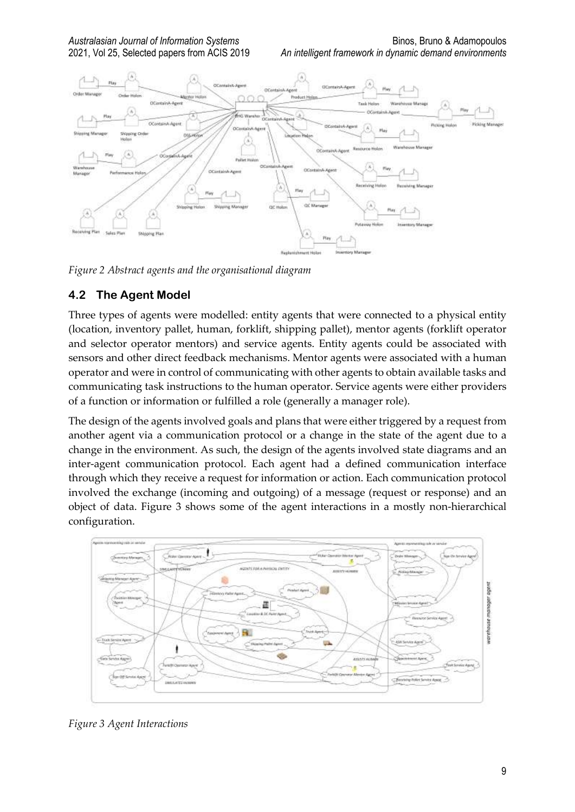

*Figure 2 Abstract agents and the organisational diagram*

## **4.2 The Agent Model**

Three types of agents were modelled: entity agents that were connected to a physical entity (location, inventory pallet, human, forklift, shipping pallet), mentor agents (forklift operator and selector operator mentors) and service agents. Entity agents could be associated with sensors and other direct feedback mechanisms. Mentor agents were associated with a human operator and were in control of communicating with other agents to obtain available tasks and communicating task instructions to the human operator. Service agents were either providers of a function or information or fulfilled a role (generally a manager role).

The design of the agents involved goals and plans that were either triggered by a request from another agent via a communication protocol or a change in the state of the agent due to a change in the environment. As such, the design of the agents involved state diagrams and an inter-agent communication protocol. Each agent had a defined communication interface through which they receive a request for information or action. Each communication protocol involved the exchange (incoming and outgoing) of a message (request or response) and an object of data. Figure 3 shows some of the agent interactions in a mostly non-hierarchical configuration.



*Figure 3 Agent Interactions*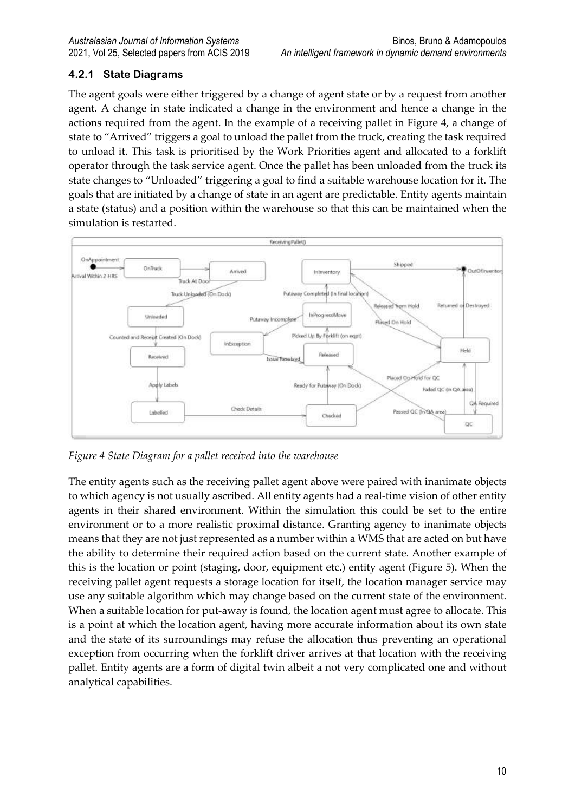## **4.2.1 State Diagrams**

The agent goals were either triggered by a change of agent state or by a request from another agent. A change in state indicated a change in the environment and hence a change in the actions required from the agent. In the example of a receiving pallet in Figure 4, a change of state to "Arrived" triggers a goal to unload the pallet from the truck, creating the task required to unload it. This task is prioritised by the Work Priorities agent and allocated to a forklift operator through the task service agent. Once the pallet has been unloaded from the truck its state changes to "Unloaded" triggering a goal to find a suitable warehouse location for it. The goals that are initiated by a change of state in an agent are predictable. Entity agents maintain a state (status) and a position within the warehouse so that this can be maintained when the simulation is restarted.



*Figure 4 State Diagram for a pallet received into the warehouse*

The entity agents such as the receiving pallet agent above were paired with inanimate objects to which agency is not usually ascribed. All entity agents had a real-time vision of other entity agents in their shared environment. Within the simulation this could be set to the entire environment or to a more realistic proximal distance. Granting agency to inanimate objects means that they are not just represented as a number within a WMS that are acted on but have the ability to determine their required action based on the current state. Another example of this is the location or point (staging, door, equipment etc.) entity agent (Figure 5). When the receiving pallet agent requests a storage location for itself, the location manager service may use any suitable algorithm which may change based on the current state of the environment. When a suitable location for put-away is found, the location agent must agree to allocate. This is a point at which the location agent, having more accurate information about its own state and the state of its surroundings may refuse the allocation thus preventing an operational exception from occurring when the forklift driver arrives at that location with the receiving pallet. Entity agents are a form of digital twin albeit a not very complicated one and without analytical capabilities.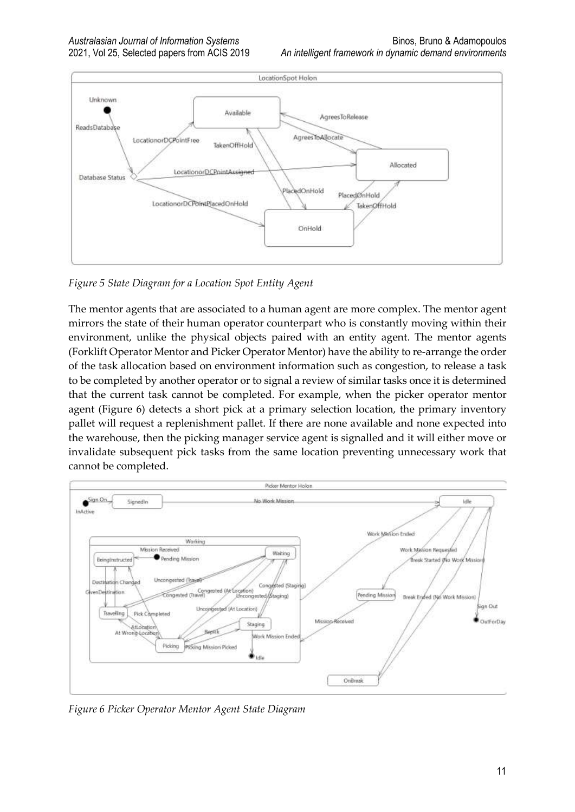

*Figure 5 State Diagram for a Location Spot Entity Agent*

The mentor agents that are associated to a human agent are more complex. The mentor agent mirrors the state of their human operator counterpart who is constantly moving within their environment, unlike the physical objects paired with an entity agent. The mentor agents (Forklift Operator Mentor and Picker Operator Mentor) have the ability to re-arrange the order of the task allocation based on environment information such as congestion, to release a task to be completed by another operator or to signal a review of similar tasks once it is determined that the current task cannot be completed. For example, when the picker operator mentor agent (Figure 6) detects a short pick at a primary selection location, the primary inventory pallet will request a replenishment pallet. If there are none available and none expected into the warehouse, then the picking manager service agent is signalled and it will either move or invalidate subsequent pick tasks from the same location preventing unnecessary work that cannot be completed.



*Figure 6 Picker Operator Mentor Agent State Diagram*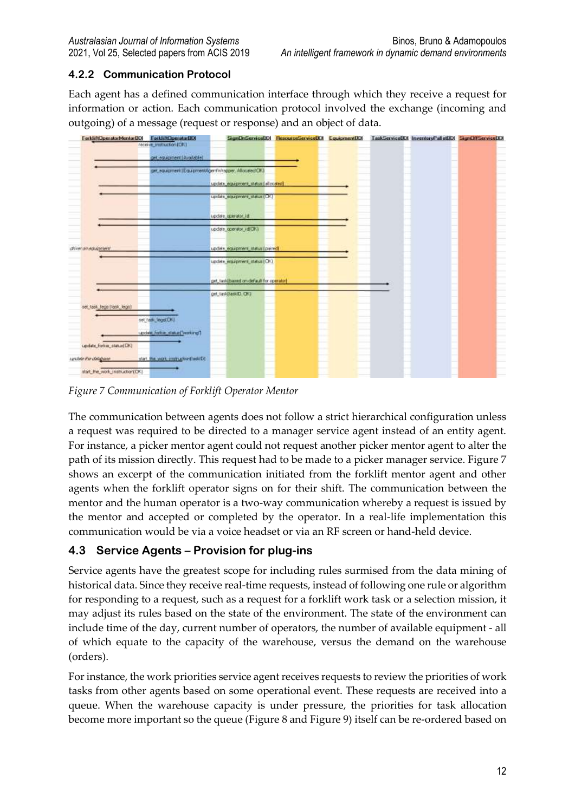## **4.2.2 Communication Protocol**

Each agent has a defined communication interface through which they receive a request for information or action. Each communication protocol involved the exchange (incoming and outgoing) of a message (request or response) and an object of data.



*Figure 7 Communication of Forklift Operator Mentor*

The communication between agents does not follow a strict hierarchical configuration unless a request was required to be directed to a manager service agent instead of an entity agent. For instance, a picker mentor agent could not request another picker mentor agent to alter the path of its mission directly. This request had to be made to a picker manager service. Figure 7 shows an excerpt of the communication initiated from the forklift mentor agent and other agents when the forklift operator signs on for their shift. The communication between the mentor and the human operator is a two-way communication whereby a request is issued by the mentor and accepted or completed by the operator. In a real-life implementation this communication would be via a voice headset or via an RF screen or hand-held device.

## **4.3 Service Agents – Provision for plug-ins**

Service agents have the greatest scope for including rules surmised from the data mining of historical data. Since they receive real-time requests, instead of following one rule or algorithm for responding to a request, such as a request for a forklift work task or a selection mission, it may adjust its rules based on the state of the environment. The state of the environment can include time of the day, current number of operators, the number of available equipment - all of which equate to the capacity of the warehouse, versus the demand on the warehouse (orders).

For instance, the work priorities service agent receives requests to review the priorities of work tasks from other agents based on some operational event. These requests are received into a queue. When the warehouse capacity is under pressure, the priorities for task allocation become more important so the queue (Figure 8 and Figure 9) itself can be re-ordered based on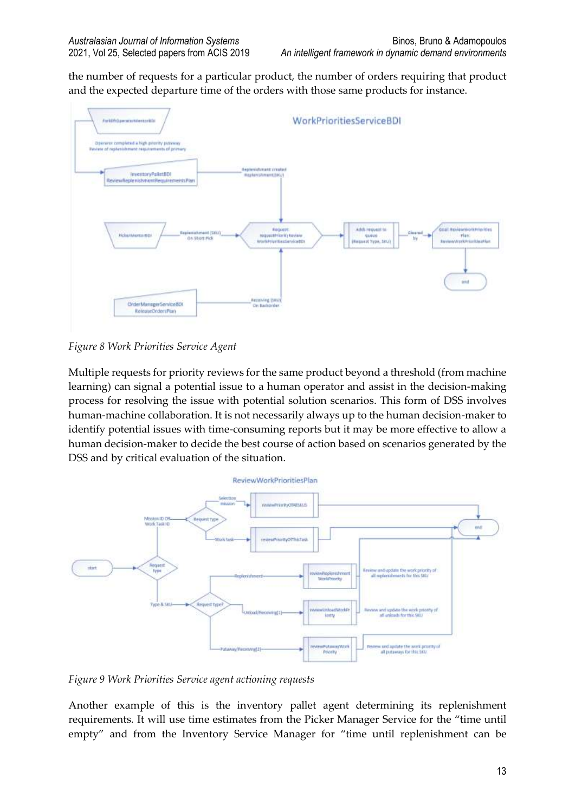the number of requests for a particular product, the number of orders requiring that product and the expected departure time of the orders with those same products for instance.



*Figure 8 Work Priorities Service Agent*

Multiple requests for priority reviews for the same product beyond a threshold (from machine learning) can signal a potential issue to a human operator and assist in the decision-making process for resolving the issue with potential solution scenarios. This form of DSS involves human-machine collaboration. It is not necessarily always up to the human decision-maker to identify potential issues with time-consuming reports but it may be more effective to allow a human decision-maker to decide the best course of action based on scenarios generated by the DSS and by critical evaluation of the situation.



*Figure 9 Work Priorities Service agent actioning requests*

Another example of this is the inventory pallet agent determining its replenishment requirements. It will use time estimates from the Picker Manager Service for the "time until empty" and from the Inventory Service Manager for "time until replenishment can be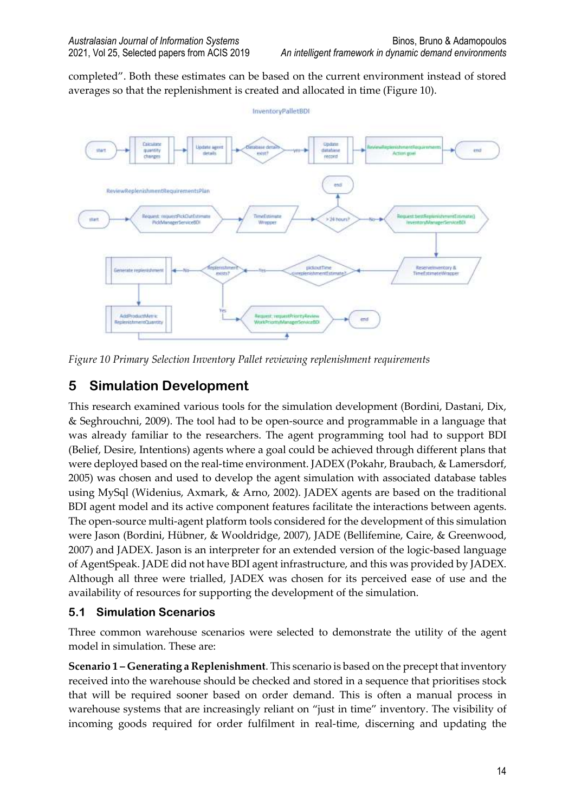completed". Both these estimates can be based on the current environment instead of stored averages so that the replenishment is created and allocated in time (Figure 10).



*Figure 10 Primary Selection Inventory Pallet reviewing replenishment requirements*

# **5 Simulation Development**

This research examined various tools for the simulation development (Bordini, Dastani, Dix, & Seghrouchni, 2009). The tool had to be open-source and programmable in a language that was already familiar to the researchers. The agent programming tool had to support BDI (Belief, Desire, Intentions) agents where a goal could be achieved through different plans that were deployed based on the real-time environment. JADEX (Pokahr, Braubach, & Lamersdorf, 2005) was chosen and used to develop the agent simulation with associated database tables using MySql (Widenius, Axmark, & Arno, 2002). JADEX agents are based on the traditional BDI agent model and its active component features facilitate the interactions between agents. The open-source multi-agent platform tools considered for the development of this simulation were Jason (Bordini, Hübner, & Wooldridge, 2007), JADE (Bellifemine, Caire, & Greenwood, 2007) and JADEX. Jason is an interpreter for an extended version of the logic-based language of AgentSpeak. JADE did not have BDI agent infrastructure, and this was provided by JADEX. Although all three were trialled, JADEX was chosen for its perceived ease of use and the availability of resources for supporting the development of the simulation.

## **5.1 Simulation Scenarios**

Three common warehouse scenarios were selected to demonstrate the utility of the agent model in simulation. These are:

**Scenario 1 – Generating a Replenishment**. This scenario is based on the precept that inventory received into the warehouse should be checked and stored in a sequence that prioritises stock that will be required sooner based on order demand. This is often a manual process in warehouse systems that are increasingly reliant on "just in time" inventory. The visibility of incoming goods required for order fulfilment in real-time, discerning and updating the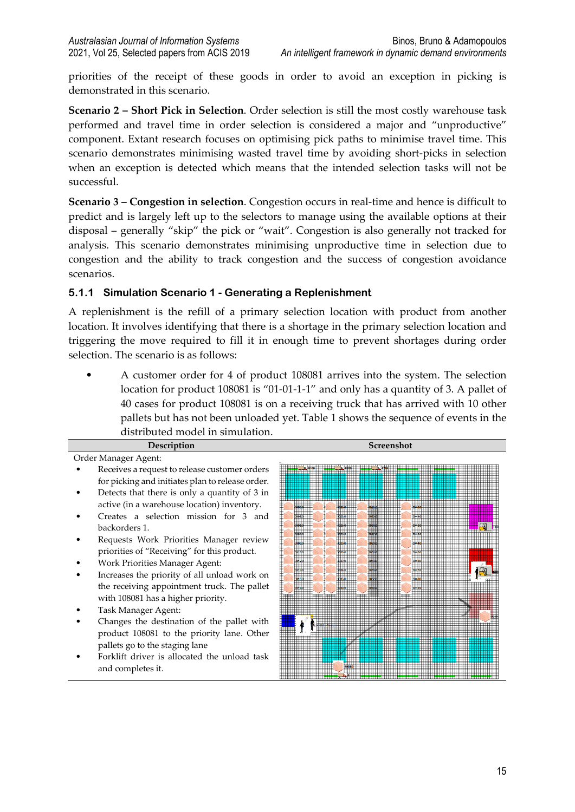priorities of the receipt of these goods in order to avoid an exception in picking is demonstrated in this scenario.

**Scenario 2 – Short Pick in Selection**. Order selection is still the most costly warehouse task performed and travel time in order selection is considered a major and "unproductive" component. Extant research focuses on optimising pick paths to minimise travel time. This scenario demonstrates minimising wasted travel time by avoiding short-picks in selection when an exception is detected which means that the intended selection tasks will not be successful.

**Scenario 3 – Congestion in selection**. Congestion occurs in real-time and hence is difficult to predict and is largely left up to the selectors to manage using the available options at their disposal – generally "skip" the pick or "wait". Congestion is also generally not tracked for analysis. This scenario demonstrates minimising unproductive time in selection due to congestion and the ability to track congestion and the success of congestion avoidance scenarios.

#### **5.1.1 Simulation Scenario 1 - Generating a Replenishment**

A replenishment is the refill of a primary selection location with product from another location. It involves identifying that there is a shortage in the primary selection location and triggering the move required to fill it in enough time to prevent shortages during order selection. The scenario is as follows:

• A customer order for 4 of product 108081 arrives into the system. The selection location for product 108081 is "01-01-1-1" and only has a quantity of 3. A pallet of 40 cases for product 108081 is on a receiving truck that has arrived with 10 other pallets but has not been unloaded yet. Table 1 shows the sequence of events in the distributed model in simulation.

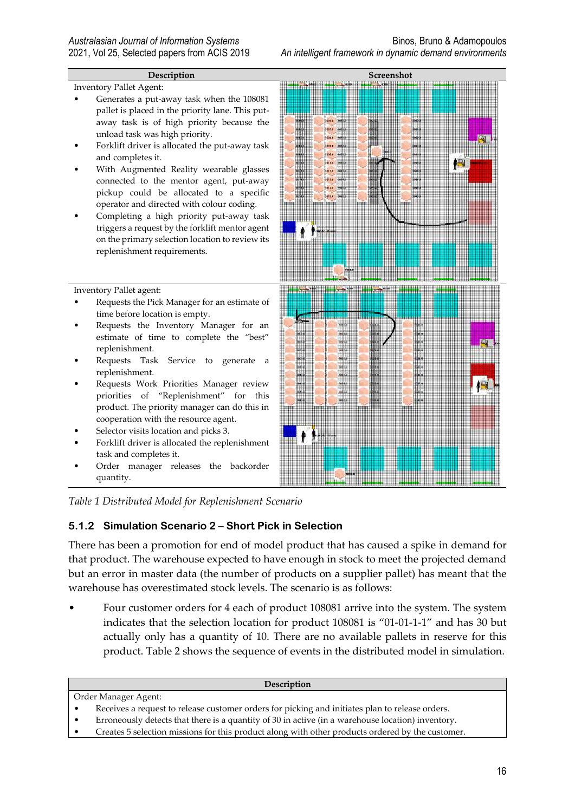Inventory Pallet Agent:

- Generates a put-away task when the 108081 pallet is placed in the priority lane. This putaway task is of high priority because the unload task was high priority.
- Forklift driver is allocated the put-away task and completes it.
- With Augmented Reality wearable glasses connected to the mentor agent, put-away pickup could be allocated to a specific operator and directed with colour coding.
- Completing a high priority put-away task triggers a request by the forklift mentor agent on the primary selection location to review its replenishment requirements.

Inventory Pallet agent:

- Requests the Pick Manager for an estimate of time before location is empty.
- Requests the Inventory Manager for an estimate of time to complete the "best" replenishment.
- Requests Task Service to generate a replenishment.
- Requests Work Priorities Manager review priorities of "Replenishment" for this product. The priority manager can do this in cooperation with the resource agent.
- Selector visits location and picks 3.
- Forklift driver is allocated the replenishment task and completes it.
- Order manager releases the backorder quantity.





*Table 1 Distributed Model for Replenishment Scenario*

#### **5.1.2 Simulation Scenario 2 – Short Pick in Selection**

There has been a promotion for end of model product that has caused a spike in demand for that product. The warehouse expected to have enough in stock to meet the projected demand but an error in master data (the number of products on a supplier pallet) has meant that the warehouse has overestimated stock levels. The scenario is as follows:

• Four customer orders for 4 each of product 108081 arrive into the system. The system indicates that the selection location for product 108081 is "01-01-1-1" and has 30 but actually only has a quantity of 10. There are no available pallets in reserve for this product. Table 2 shows the sequence of events in the distributed model in simulation.

#### **Description**

- Order Manager Agent:
- Receives a request to release customer orders for picking and initiates plan to release orders.
- Erroneously detects that there is a quantity of 30 in active (in a warehouse location) inventory.
- Creates 5 selection missions for this product along with other products ordered by the customer.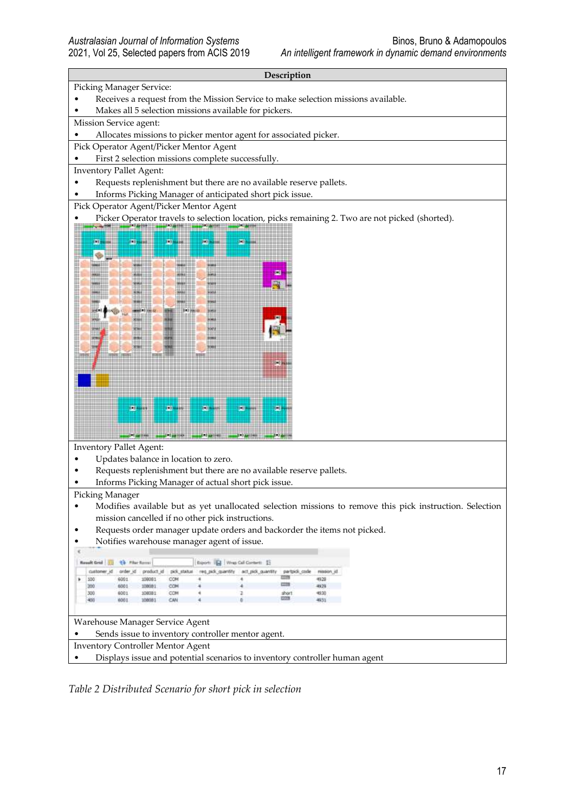#### **Description**

#### Picking Manager Service:

- Receives a request from the Mission Service to make selection missions available.
- Makes all 5 selection missions available for pickers.

#### Mission Service agent:

- Allocates missions to picker mentor agent for associated picker.
- Pick Operator Agent/Picker Mentor Agent
- First 2 selection missions complete successfully.
- Inventory Pallet Agent:
- Requests replenishment but there are no available reserve pallets.
- Informs Picking Manager of anticipated short pick issue.
- Pick Operator Agent/Picker Mentor Agent
- Picker Operator travels to selection location, picks remaining 2. Two are not picked (shorted).



Inventory Pallet Agent:

- Updates balance in location to zero.
- Requests replenishment but there are no available reserve pallets.
- Informs Picking Manager of actual short pick issue.

#### Picking Manager

- Modifies available but as yet unallocated selection missions to remove this pick instruction. Selection mission cancelled if no other pick instructions.
- Requests order manager update orders and backorder the items not picked.
- Notifies warehouse manager agent of issue.

|                                                   | <b>43 Filter Royces</b><br><b>Russelt Grid</b>                             |          |            |             | Export: 152 Wrap Call Contert: 15 |                                 |             |      |  |  |  |
|---------------------------------------------------|----------------------------------------------------------------------------|----------|------------|-------------|-----------------------------------|---------------------------------|-------------|------|--|--|--|
|                                                   |                                                                            | order id | product id | pick status | reg.pdi.gantify                   | act pick quantity partpick code |             |      |  |  |  |
|                                                   | 500                                                                        | 6001     | 108081     | <b>COM</b>  |                                   |                                 |             | 4928 |  |  |  |
|                                                   |                                                                            | 6001     | 10/90/01   | COM         |                                   |                                 |             | 4929 |  |  |  |
|                                                   |                                                                            | 6001     | 108081     | COM         |                                   |                                 | short       |      |  |  |  |
|                                                   |                                                                            | 600      |            | CAN         |                                   |                                 | <b>BONE</b> |      |  |  |  |
| Warehouse Manager Service Agent                   |                                                                            |          |            |             |                                   |                                 |             |      |  |  |  |
| Sends issue to inventory controller mentor agent. |                                                                            |          |            |             |                                   |                                 |             |      |  |  |  |
|                                                   | <b>Inventory Controller Mentor Agent</b>                                   |          |            |             |                                   |                                 |             |      |  |  |  |
|                                                   | Displays issue and potential scenarios to inventory controller human agent |          |            |             |                                   |                                 |             |      |  |  |  |

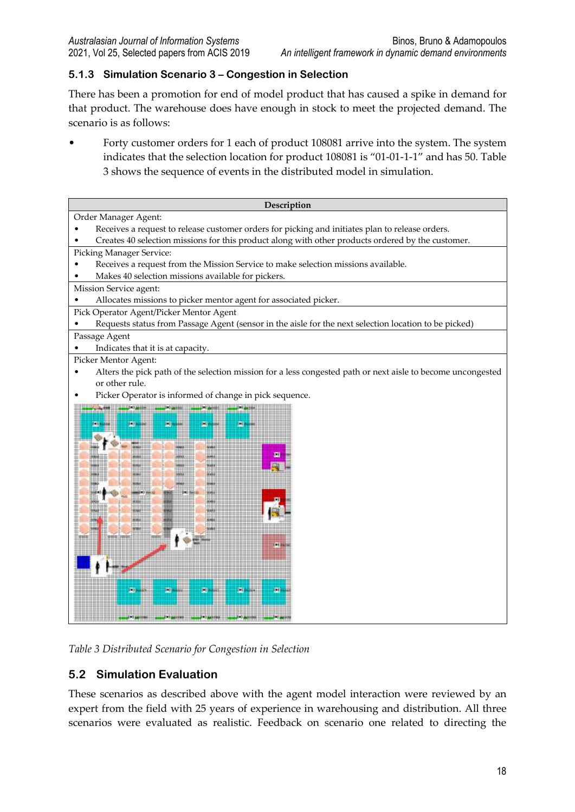#### **5.1.3 Simulation Scenario 3 – Congestion in Selection**

There has been a promotion for end of model product that has caused a spike in demand for that product. The warehouse does have enough in stock to meet the projected demand. The scenario is as follows:

• Forty customer orders for 1 each of product 108081 arrive into the system. The system indicates that the selection location for product 108081 is "01-01-1-1" and has 50. Table 3 shows the sequence of events in the distributed model in simulation.



*Table 3 Distributed Scenario for Congestion in Selection*

## **5.2 Simulation Evaluation**

These scenarios as described above with the agent model interaction were reviewed by an expert from the field with 25 years of experience in warehousing and distribution. All three scenarios were evaluated as realistic. Feedback on scenario one related to directing the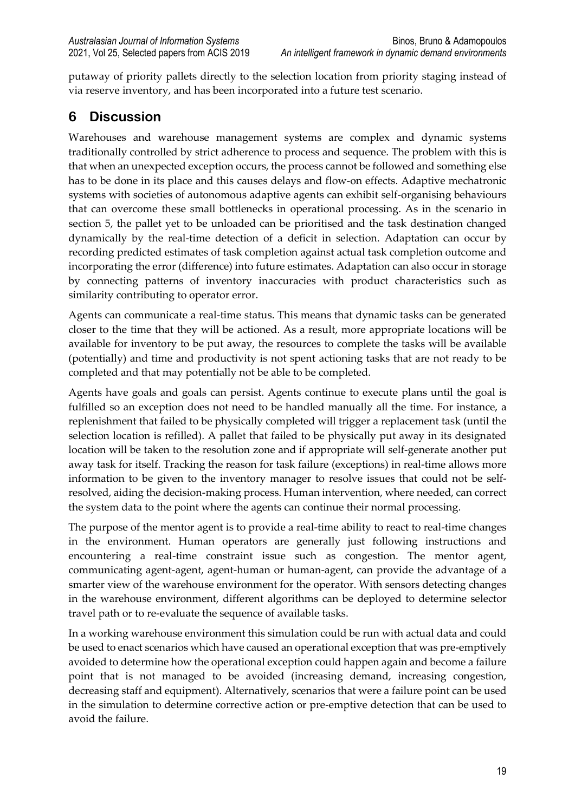putaway of priority pallets directly to the selection location from priority staging instead of via reserve inventory, and has been incorporated into a future test scenario.

# **6 Discussion**

Warehouses and warehouse management systems are complex and dynamic systems traditionally controlled by strict adherence to process and sequence. The problem with this is that when an unexpected exception occurs, the process cannot be followed and something else has to be done in its place and this causes delays and flow-on effects. Adaptive mechatronic systems with societies of autonomous adaptive agents can exhibit self-organising behaviours that can overcome these small bottlenecks in operational processing. As in the scenario in section 5, the pallet yet to be unloaded can be prioritised and the task destination changed dynamically by the real-time detection of a deficit in selection. Adaptation can occur by recording predicted estimates of task completion against actual task completion outcome and incorporating the error (difference) into future estimates. Adaptation can also occur in storage by connecting patterns of inventory inaccuracies with product characteristics such as similarity contributing to operator error.

Agents can communicate a real-time status. This means that dynamic tasks can be generated closer to the time that they will be actioned. As a result, more appropriate locations will be available for inventory to be put away, the resources to complete the tasks will be available (potentially) and time and productivity is not spent actioning tasks that are not ready to be completed and that may potentially not be able to be completed.

Agents have goals and goals can persist. Agents continue to execute plans until the goal is fulfilled so an exception does not need to be handled manually all the time. For instance, a replenishment that failed to be physically completed will trigger a replacement task (until the selection location is refilled). A pallet that failed to be physically put away in its designated location will be taken to the resolution zone and if appropriate will self-generate another put away task for itself. Tracking the reason for task failure (exceptions) in real-time allows more information to be given to the inventory manager to resolve issues that could not be selfresolved, aiding the decision-making process. Human intervention, where needed, can correct the system data to the point where the agents can continue their normal processing.

The purpose of the mentor agent is to provide a real-time ability to react to real-time changes in the environment. Human operators are generally just following instructions and encountering a real-time constraint issue such as congestion. The mentor agent, communicating agent-agent, agent-human or human-agent, can provide the advantage of a smarter view of the warehouse environment for the operator. With sensors detecting changes in the warehouse environment, different algorithms can be deployed to determine selector travel path or to re-evaluate the sequence of available tasks.

In a working warehouse environment this simulation could be run with actual data and could be used to enact scenarios which have caused an operational exception that was pre-emptively avoided to determine how the operational exception could happen again and become a failure point that is not managed to be avoided (increasing demand, increasing congestion, decreasing staff and equipment). Alternatively, scenarios that were a failure point can be used in the simulation to determine corrective action or pre-emptive detection that can be used to avoid the failure.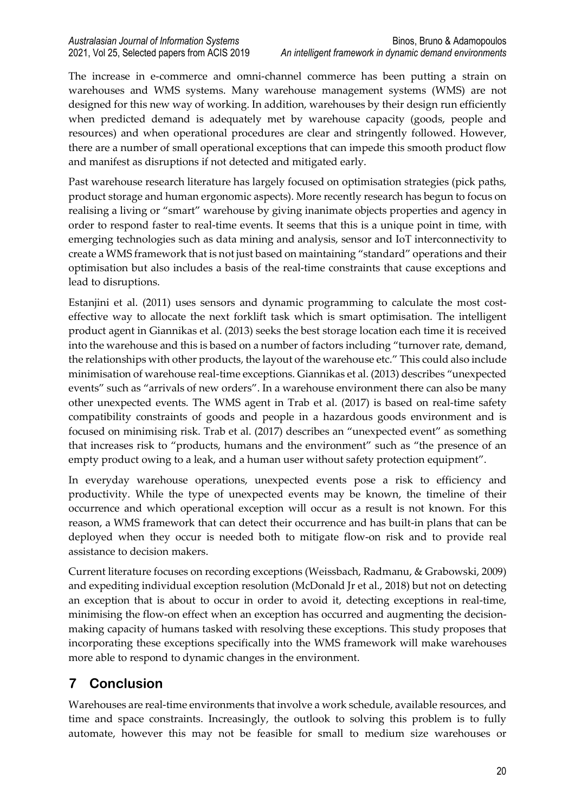The increase in e-commerce and omni-channel commerce has been putting a strain on warehouses and WMS systems. Many warehouse management systems (WMS) are not designed for this new way of working. In addition, warehouses by their design run efficiently when predicted demand is adequately met by warehouse capacity (goods, people and resources) and when operational procedures are clear and stringently followed. However, there are a number of small operational exceptions that can impede this smooth product flow and manifest as disruptions if not detected and mitigated early.

Past warehouse research literature has largely focused on optimisation strategies (pick paths, product storage and human ergonomic aspects). More recently research has begun to focus on realising a living or "smart" warehouse by giving inanimate objects properties and agency in order to respond faster to real-time events. It seems that this is a unique point in time, with emerging technologies such as data mining and analysis, sensor and IoT interconnectivity to create a WMS framework that is not just based on maintaining "standard" operations and their optimisation but also includes a basis of the real-time constraints that cause exceptions and lead to disruptions.

Estanjini et al. (2011) uses sensors and dynamic programming to calculate the most costeffective way to allocate the next forklift task which is smart optimisation. The intelligent product agent in Giannikas et al. (2013) seeks the best storage location each time it is received into the warehouse and this is based on a number of factors including "turnover rate, demand, the relationships with other products, the layout of the warehouse etc." This could also include minimisation of warehouse real-time exceptions. Giannikas et al. (2013) describes "unexpected events" such as "arrivals of new orders". In a warehouse environment there can also be many other unexpected events. The WMS agent in Trab et al. (2017) is based on real-time safety compatibility constraints of goods and people in a hazardous goods environment and is focused on minimising risk. Trab et al. (2017) describes an "unexpected event" as something that increases risk to "products, humans and the environment" such as "the presence of an empty product owing to a leak, and a human user without safety protection equipment".

In everyday warehouse operations, unexpected events pose a risk to efficiency and productivity. While the type of unexpected events may be known, the timeline of their occurrence and which operational exception will occur as a result is not known. For this reason, a WMS framework that can detect their occurrence and has built-in plans that can be deployed when they occur is needed both to mitigate flow-on risk and to provide real assistance to decision makers.

Current literature focuses on recording exceptions (Weissbach, Radmanu, & Grabowski, 2009) and expediting individual exception resolution (McDonald Jr et al., 2018) but not on detecting an exception that is about to occur in order to avoid it, detecting exceptions in real-time, minimising the flow-on effect when an exception has occurred and augmenting the decisionmaking capacity of humans tasked with resolving these exceptions. This study proposes that incorporating these exceptions specifically into the WMS framework will make warehouses more able to respond to dynamic changes in the environment.

# **7 Conclusion**

Warehouses are real-time environments that involve a work schedule, available resources, and time and space constraints. Increasingly, the outlook to solving this problem is to fully automate, however this may not be feasible for small to medium size warehouses or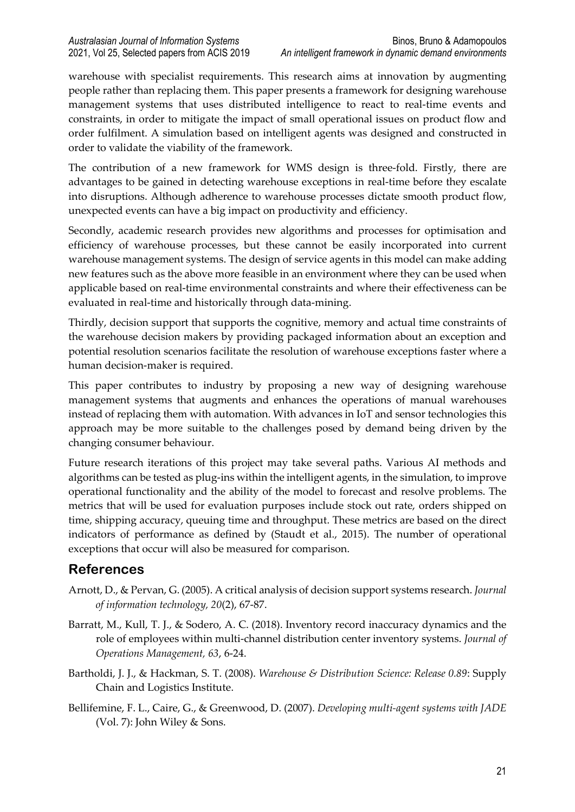warehouse with specialist requirements. This research aims at innovation by augmenting people rather than replacing them. This paper presents a framework for designing warehouse management systems that uses distributed intelligence to react to real-time events and constraints, in order to mitigate the impact of small operational issues on product flow and order fulfilment. A simulation based on intelligent agents was designed and constructed in order to validate the viability of the framework.

The contribution of a new framework for WMS design is three-fold. Firstly, there are advantages to be gained in detecting warehouse exceptions in real-time before they escalate into disruptions. Although adherence to warehouse processes dictate smooth product flow, unexpected events can have a big impact on productivity and efficiency.

Secondly, academic research provides new algorithms and processes for optimisation and efficiency of warehouse processes, but these cannot be easily incorporated into current warehouse management systems. The design of service agents in this model can make adding new features such as the above more feasible in an environment where they can be used when applicable based on real-time environmental constraints and where their effectiveness can be evaluated in real-time and historically through data-mining.

Thirdly, decision support that supports the cognitive, memory and actual time constraints of the warehouse decision makers by providing packaged information about an exception and potential resolution scenarios facilitate the resolution of warehouse exceptions faster where a human decision-maker is required.

This paper contributes to industry by proposing a new way of designing warehouse management systems that augments and enhances the operations of manual warehouses instead of replacing them with automation. With advances in IoT and sensor technologies this approach may be more suitable to the challenges posed by demand being driven by the changing consumer behaviour.

Future research iterations of this project may take several paths. Various AI methods and algorithms can be tested as plug-ins within the intelligent agents, in the simulation, to improve operational functionality and the ability of the model to forecast and resolve problems. The metrics that will be used for evaluation purposes include stock out rate, orders shipped on time, shipping accuracy, queuing time and throughput. These metrics are based on the direct indicators of performance as defined by (Staudt et al., 2015). The number of operational exceptions that occur will also be measured for comparison.

# **References**

- Arnott, D., & Pervan, G. (2005). A critical analysis of decision support systems research. *Journal of information technology, 20*(2), 67-87.
- Barratt, M., Kull, T. J., & Sodero, A. C. (2018). Inventory record inaccuracy dynamics and the role of employees within multi-channel distribution center inventory systems. *Journal of Operations Management, 63*, 6-24.
- Bartholdi, J. J., & Hackman, S. T. (2008). *Warehouse & Distribution Science: Release 0.89*: Supply Chain and Logistics Institute.
- Bellifemine, F. L., Caire, G., & Greenwood, D. (2007). *Developing multi-agent systems with JADE* (Vol. 7): John Wiley & Sons.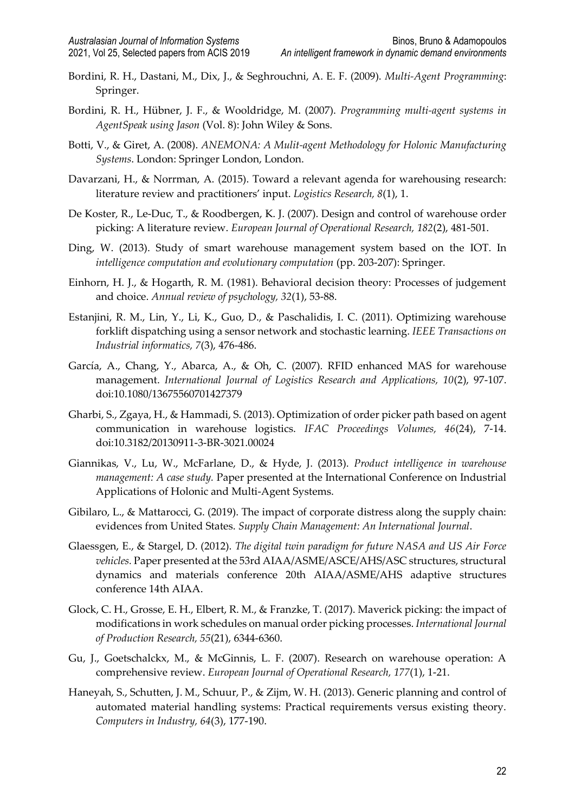- Bordini, R. H., Dastani, M., Dix, J., & Seghrouchni, A. E. F. (2009). *Multi-Agent Programming*: Springer.
- Bordini, R. H., Hübner, J. F., & Wooldridge, M. (2007). *Programming multi-agent systems in AgentSpeak using Jason* (Vol. 8): John Wiley & Sons.
- Botti, V., & Giret, A. (2008). *ANEMONA: A Mulit-agent Methodology for Holonic Manufacturing Systems*. London: Springer London, London.
- Davarzani, H., & Norrman, A. (2015). Toward a relevant agenda for warehousing research: literature review and practitioners' input. *Logistics Research, 8*(1), 1.
- De Koster, R., Le-Duc, T., & Roodbergen, K. J. (2007). Design and control of warehouse order picking: A literature review. *European Journal of Operational Research, 182*(2), 481-501.
- Ding, W. (2013). Study of smart warehouse management system based on the IOT. In *intelligence computation and evolutionary computation* (pp. 203-207): Springer.
- Einhorn, H. J., & Hogarth, R. M. (1981). Behavioral decision theory: Processes of judgement and choice. *Annual review of psychology, 32*(1), 53-88.
- Estanjini, R. M., Lin, Y., Li, K., Guo, D., & Paschalidis, I. C. (2011). Optimizing warehouse forklift dispatching using a sensor network and stochastic learning. *IEEE Transactions on Industrial informatics, 7*(3), 476-486.
- García, A., Chang, Y., Abarca, A., & Oh, C. (2007). RFID enhanced MAS for warehouse management. *International Journal of Logistics Research and Applications, 10*(2), 97-107. doi:10.1080/13675560701427379
- Gharbi, S., Zgaya, H., & Hammadi, S. (2013). Optimization of order picker path based on agent communication in warehouse logistics. *IFAC Proceedings Volumes, 46*(24), 7-14. doi:10.3182/20130911-3-BR-3021.00024
- Giannikas, V., Lu, W., McFarlane, D., & Hyde, J. (2013). *Product intelligence in warehouse management: A case study.* Paper presented at the International Conference on Industrial Applications of Holonic and Multi-Agent Systems.
- Gibilaro, L., & Mattarocci, G. (2019). The impact of corporate distress along the supply chain: evidences from United States. *Supply Chain Management: An International Journal*.
- Glaessgen, E., & Stargel, D. (2012). *The digital twin paradigm for future NASA and US Air Force vehicles.* Paper presented at the 53rd AIAA/ASME/ASCE/AHS/ASC structures, structural dynamics and materials conference 20th AIAA/ASME/AHS adaptive structures conference 14th AIAA.
- Glock, C. H., Grosse, E. H., Elbert, R. M., & Franzke, T. (2017). Maverick picking: the impact of modifications in work schedules on manual order picking processes. *International Journal of Production Research, 55*(21), 6344-6360.
- Gu, J., Goetschalckx, M., & McGinnis, L. F. (2007). Research on warehouse operation: A comprehensive review. *European Journal of Operational Research, 177*(1), 1-21.
- Haneyah, S., Schutten, J. M., Schuur, P., & Zijm, W. H. (2013). Generic planning and control of automated material handling systems: Practical requirements versus existing theory. *Computers in Industry, 64*(3), 177-190.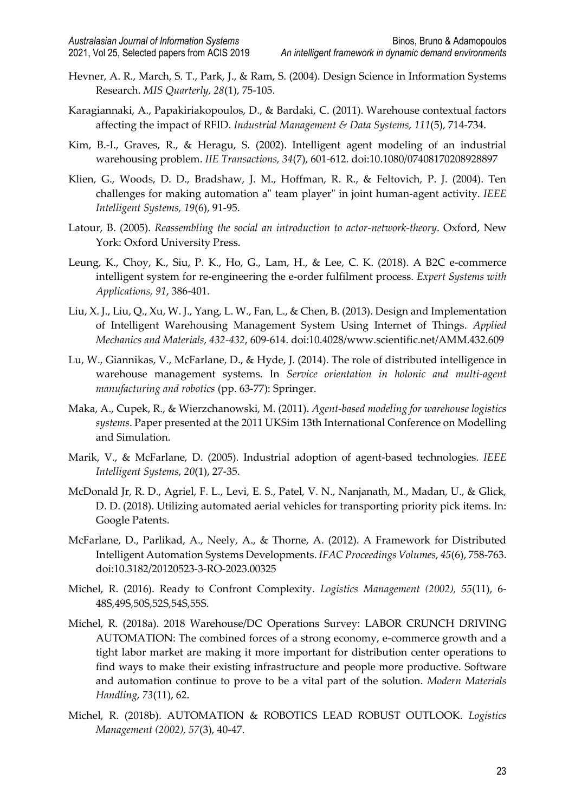- Hevner, A. R., March, S. T., Park, J., & Ram, S. (2004). Design Science in Information Systems Research. *MIS Quarterly, 28*(1), 75-105.
- Karagiannaki, A., Papakiriakopoulos, D., & Bardaki, C. (2011). Warehouse contextual factors affecting the impact of RFID. *Industrial Management & Data Systems, 111*(5), 714-734.
- Kim, B.-I., Graves, R., & Heragu, S. (2002). Intelligent agent modeling of an industrial warehousing problem. *IIE Transactions, 34*(7), 601-612. doi:10.1080/07408170208928897
- Klien, G., Woods, D. D., Bradshaw, J. M., Hoffman, R. R., & Feltovich, P. J. (2004). Ten challenges for making automation a" team player" in joint human-agent activity. *IEEE Intelligent Systems, 19*(6), 91-95.
- Latour, B. (2005). *Reassembling the social an introduction to actor-network-theory*. Oxford, New York: Oxford University Press.
- Leung, K., Choy, K., Siu, P. K., Ho, G., Lam, H., & Lee, C. K. (2018). A B2C e-commerce intelligent system for re-engineering the e-order fulfilment process. *Expert Systems with Applications, 91*, 386-401.
- Liu, X. J., Liu, Q., Xu, W. J., Yang, L. W., Fan, L., & Chen, B. (2013). Design and Implementation of Intelligent Warehousing Management System Using Internet of Things. *Applied Mechanics and Materials, 432-432*, 609-614. doi:10.4028/www.scientific.net/AMM.432.609
- Lu, W., Giannikas, V., McFarlane, D., & Hyde, J. (2014). The role of distributed intelligence in warehouse management systems. In *Service orientation in holonic and multi-agent manufacturing and robotics* (pp. 63-77): Springer.
- Maka, A., Cupek, R., & Wierzchanowski, M. (2011). *Agent-based modeling for warehouse logistics systems*. Paper presented at the 2011 UKSim 13th International Conference on Modelling and Simulation.
- Marik, V., & McFarlane, D. (2005). Industrial adoption of agent-based technologies. *IEEE Intelligent Systems, 20*(1), 27-35.
- McDonald Jr, R. D., Agriel, F. L., Levi, E. S., Patel, V. N., Nanjanath, M., Madan, U., & Glick, D. D. (2018). Utilizing automated aerial vehicles for transporting priority pick items. In: Google Patents.
- McFarlane, D., Parlikad, A., Neely, A., & Thorne, A. (2012). A Framework for Distributed Intelligent Automation Systems Developments. *IFAC Proceedings Volumes, 45*(6), 758-763. doi:10.3182/20120523-3-RO-2023.00325
- Michel, R. (2016). Ready to Confront Complexity. *Logistics Management (2002), 55*(11), 6- 48S,49S,50S,52S,54S,55S.
- Michel, R. (2018a). 2018 Warehouse/DC Operations Survey: LABOR CRUNCH DRIVING AUTOMATION: The combined forces of a strong economy, e-commerce growth and a tight labor market are making it more important for distribution center operations to find ways to make their existing infrastructure and people more productive. Software and automation continue to prove to be a vital part of the solution. *Modern Materials Handling, 73*(11), 62.
- Michel, R. (2018b). AUTOMATION & ROBOTICS LEAD ROBUST OUTLOOK. *Logistics Management (2002), 57*(3), 40-47.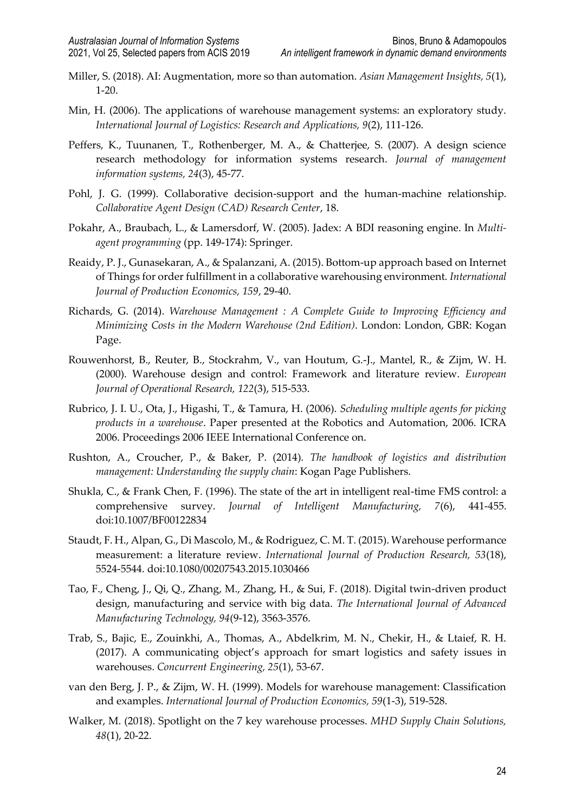- Miller, S. (2018). AI: Augmentation, more so than automation. *Asian Management Insights, 5*(1), 1-20.
- Min, H. (2006). The applications of warehouse management systems: an exploratory study. *International Journal of Logistics: Research and Applications, 9*(2), 111-126.
- Peffers, K., Tuunanen, T., Rothenberger, M. A., & Chatterjee, S. (2007). A design science research methodology for information systems research. *Journal of management information systems, 24*(3), 45-77.
- Pohl, J. G. (1999). Collaborative decision-support and the human-machine relationship. *Collaborative Agent Design (CAD) Research Center*, 18.
- Pokahr, A., Braubach, L., & Lamersdorf, W. (2005). Jadex: A BDI reasoning engine. In *Multiagent programming* (pp. 149-174): Springer.
- Reaidy, P. J., Gunasekaran, A., & Spalanzani, A. (2015). Bottom-up approach based on Internet of Things for order fulfillment in a collaborative warehousing environment. *International Journal of Production Economics, 159*, 29-40.
- Richards, G. (2014). *Warehouse Management : A Complete Guide to Improving Efficiency and Minimizing Costs in the Modern Warehouse (2nd Edition)*. London: London, GBR: Kogan Page.
- Rouwenhorst, B., Reuter, B., Stockrahm, V., van Houtum, G.-J., Mantel, R., & Zijm, W. H. (2000). Warehouse design and control: Framework and literature review. *European Journal of Operational Research, 122*(3), 515-533.
- Rubrico, J. I. U., Ota, J., Higashi, T., & Tamura, H. (2006). *Scheduling multiple agents for picking products in a warehouse*. Paper presented at the Robotics and Automation, 2006. ICRA 2006. Proceedings 2006 IEEE International Conference on.
- Rushton, A., Croucher, P., & Baker, P. (2014). *The handbook of logistics and distribution management: Understanding the supply chain*: Kogan Page Publishers.
- Shukla, C., & Frank Chen, F. (1996). The state of the art in intelligent real-time FMS control: a comprehensive survey. *Journal of Intelligent Manufacturing, 7*(6), 441-455. doi:10.1007/BF00122834
- Staudt, F. H., Alpan, G., Di Mascolo, M., & Rodriguez, C. M. T. (2015). Warehouse performance measurement: a literature review. *International Journal of Production Research, 53*(18), 5524-5544. doi:10.1080/00207543.2015.1030466
- Tao, F., Cheng, J., Qi, Q., Zhang, M., Zhang, H., & Sui, F. (2018). Digital twin-driven product design, manufacturing and service with big data. *The International Journal of Advanced Manufacturing Technology, 94*(9-12), 3563-3576.
- Trab, S., Bajic, E., Zouinkhi, A., Thomas, A., Abdelkrim, M. N., Chekir, H., & Ltaief, R. H. (2017). A communicating object's approach for smart logistics and safety issues in warehouses. *Concurrent Engineering, 25*(1), 53-67.
- van den Berg, J. P., & Zijm, W. H. (1999). Models for warehouse management: Classification and examples. *International Journal of Production Economics, 59*(1-3), 519-528.
- Walker, M. (2018). Spotlight on the 7 key warehouse processes. *MHD Supply Chain Solutions, 48*(1), 20-22.